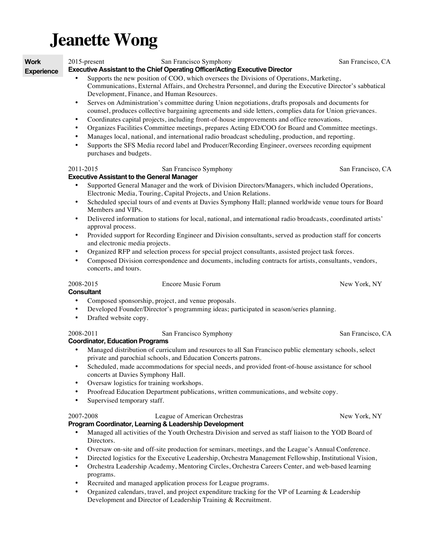# **Jeanette Wong**

**Work** 

2015-present San Francisco Symphony San Francisco, CA

**Experience**

- **Executive Assistant to the Chief Operating Officer/Acting Executive Director**
	- Supports the new position of COO, which oversees the Divisions of Operations, Marketing, Communications, External Affairs, and Orchestra Personnel, and during the Executive Director's sabbatical Development, Finance, and Human Resources.
	- Serves on Administration's committee during Union negotiations, drafts proposals and documents for counsel, produces collective bargaining agreements and side letters, complies data for Union grievances.
	- Coordinates capital projects, including front-of-house improvements and office renovations.
	- Organizes Facilities Committee meetings, prepares Acting ED/COO for Board and Committee meetings.
	- Manages local, national, and international radio broadcast scheduling, production, and reporting.
	- Supports the SFS Media record label and Producer/Recording Engineer, oversees recording equipment purchases and budgets.

# 2011-2015 San Francisco Symphony San Francisco, CA

### **Executive Assistant to the General Manager**

- Supported General Manager and the work of Division Directors/Managers, which included Operations, Electronic Media, Touring, Capital Projects, and Union Relations.
- Scheduled special tours of and events at Davies Symphony Hall; planned worldwide venue tours for Board Members and VIPs.
- Delivered information to stations for local, national, and international radio broadcasts, coordinated artists' approval process.
- Provided support for Recording Engineer and Division consultants, served as production staff for concerts and electronic media projects.
- Organized RFP and selection process for special project consultants, assisted project task forces.
- Composed Division correspondence and documents, including contracts for artists, consultants, vendors, concerts, and tours.

2008-2015 Encore Music Forum New York, NY

**Consultant**

- Composed sponsorship, project, and venue proposals.
- Developed Founder/Director's programming ideas; participated in season/series planning.
- Drafted website copy.

# 2008-2011 San Francisco Symphony San Francisco, CA

# **Coordinator, Education Programs**

- Managed distribution of curriculum and resources to all San Francisco public elementary schools, select private and parochial schools, and Education Concerts patrons.
- Scheduled, made accommodations for special needs, and provided front-of-house assistance for school concerts at Davies Symphony Hall.
- Oversaw logistics for training workshops.
- Proofread Education Department publications, written communications, and website copy.
- Supervised temporary staff.

# 2007-2008 League of American Orchestras New York, NY **Program Coordinator, Learning & Leadership Development**

- Managed all activities of the Youth Orchestra Division and served as staff liaison to the YOD Board of Directors.
- Oversaw on-site and off-site production for seminars, meetings, and the League's Annual Conference.
- Directed logistics for the Executive Leadership, Orchestra Management Fellowship, Institutional Vision,
- Orchestra Leadership Academy, Mentoring Circles, Orchestra Careers Center, and web-based learning programs.
- Recruited and managed application process for League programs.
- Organized calendars, travel, and project expenditure tracking for the VP of Learning & Leadership Development and Director of Leadership Training & Recruitment.